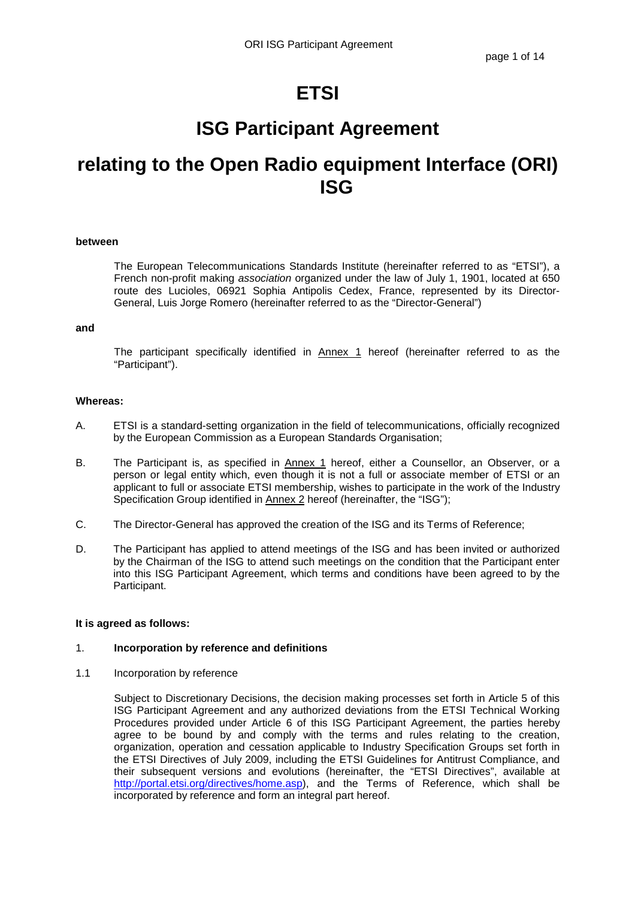# **ETSI**

# **ISG Participant Agreement**

# **relating to the Open Radio equipment Interface (ORI) ISG**

## **between**

The European Telecommunications Standards Institute (hereinafter referred to as "ETSI"), a French non-profit making association organized under the law of July 1, 1901, located at 650 route des Lucioles, 06921 Sophia Antipolis Cedex, France, represented by its Director-General, Luis Jorge Romero (hereinafter referred to as the "Director-General")

#### **and**

The participant specifically identified in **Annex 1** hereof (hereinafter referred to as the "Participant").

## **Whereas:**

- A. ETSI is a standard-setting organization in the field of telecommunications, officially recognized by the European Commission as a European Standards Organisation;
- B. The Participant is, as specified in Annex 1 hereof, either a Counsellor, an Observer, or a person or legal entity which, even though it is not a full or associate member of ETSI or an applicant to full or associate ETSI membership, wishes to participate in the work of the Industry Specification Group identified in Annex 2 hereof (hereinafter, the "ISG");
- C. The Director-General has approved the creation of the ISG and its Terms of Reference;
- D. The Participant has applied to attend meetings of the ISG and has been invited or authorized by the Chairman of the ISG to attend such meetings on the condition that the Participant enter into this ISG Participant Agreement, which terms and conditions have been agreed to by the Participant.

#### **It is agreed as follows:**

## 1. **Incorporation by reference and definitions**

1.1 Incorporation by reference

Subject to Discretionary Decisions, the decision making processes set forth in Article 5 of this ISG Participant Agreement and any authorized deviations from the ETSI Technical Working Procedures provided under Article 6 of this ISG Participant Agreement, the parties hereby agree to be bound by and comply with the terms and rules relating to the creation, organization, operation and cessation applicable to Industry Specification Groups set forth in the ETSI Directives of July 2009, including the ETSI Guidelines for Antitrust Compliance, and their subsequent versions and evolutions (hereinafter, the "ETSI Directives", available at http://portal.etsi.org/directives/home.asp), and the Terms of Reference, which shall be incorporated by reference and form an integral part hereof.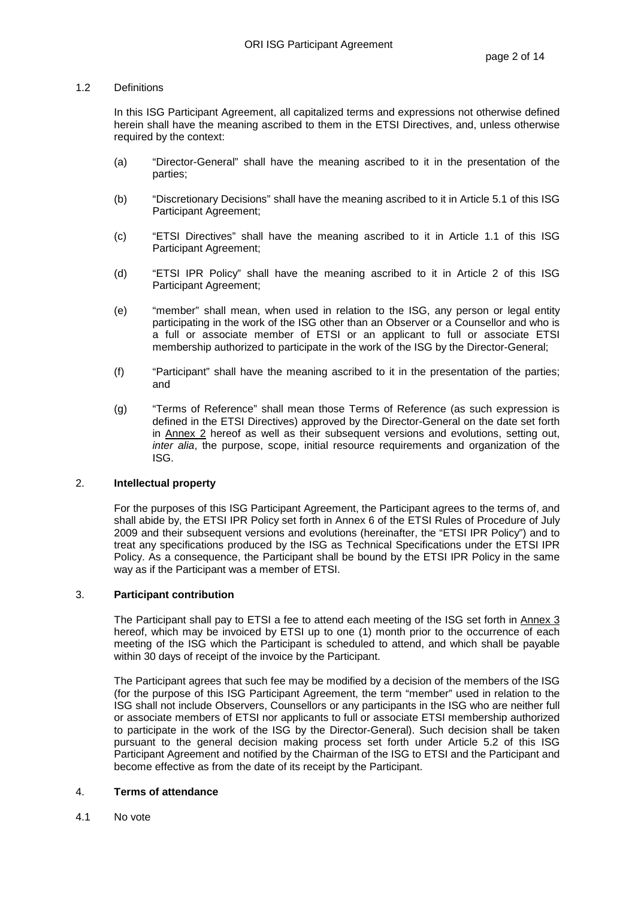## 1.2 Definitions

In this ISG Participant Agreement, all capitalized terms and expressions not otherwise defined herein shall have the meaning ascribed to them in the ETSI Directives, and, unless otherwise required by the context:

- (a) "Director-General" shall have the meaning ascribed to it in the presentation of the parties;
- (b) "Discretionary Decisions" shall have the meaning ascribed to it in Article 5.1 of this ISG Participant Agreement;
- (c) "ETSI Directives" shall have the meaning ascribed to it in Article 1.1 of this ISG Participant Agreement;
- (d) "ETSI IPR Policy" shall have the meaning ascribed to it in Article 2 of this ISG Participant Agreement;
- (e) "member" shall mean, when used in relation to the ISG, any person or legal entity participating in the work of the ISG other than an Observer or a Counsellor and who is a full or associate member of ETSI or an applicant to full or associate ETSI membership authorized to participate in the work of the ISG by the Director-General;
- (f) "Participant" shall have the meaning ascribed to it in the presentation of the parties; and
- (g) "Terms of Reference" shall mean those Terms of Reference (as such expression is defined in the ETSI Directives) approved by the Director-General on the date set forth in Annex 2 hereof as well as their subsequent versions and evolutions, setting out, inter alia, the purpose, scope, initial resource requirements and organization of the ISG.

## 2. **Intellectual property**

For the purposes of this ISG Participant Agreement, the Participant agrees to the terms of, and shall abide by, the ETSI IPR Policy set forth in Annex 6 of the ETSI Rules of Procedure of July 2009 and their subsequent versions and evolutions (hereinafter, the "ETSI IPR Policy") and to treat any specifications produced by the ISG as Technical Specifications under the ETSI IPR Policy. As a consequence, the Participant shall be bound by the ETSI IPR Policy in the same way as if the Participant was a member of ETSI.

## 3. **Participant contribution**

The Participant shall pay to ETSI a fee to attend each meeting of the ISG set forth in Annex 3 hereof, which may be invoiced by ETSI up to one (1) month prior to the occurrence of each meeting of the ISG which the Participant is scheduled to attend, and which shall be payable within 30 days of receipt of the invoice by the Participant.

The Participant agrees that such fee may be modified by a decision of the members of the ISG (for the purpose of this ISG Participant Agreement, the term "member" used in relation to the ISG shall not include Observers, Counsellors or any participants in the ISG who are neither full or associate members of ETSI nor applicants to full or associate ETSI membership authorized to participate in the work of the ISG by the Director-General). Such decision shall be taken pursuant to the general decision making process set forth under Article 5.2 of this ISG Participant Agreement and notified by the Chairman of the ISG to ETSI and the Participant and become effective as from the date of its receipt by the Participant.

# 4. **Terms of attendance**

4.1 No vote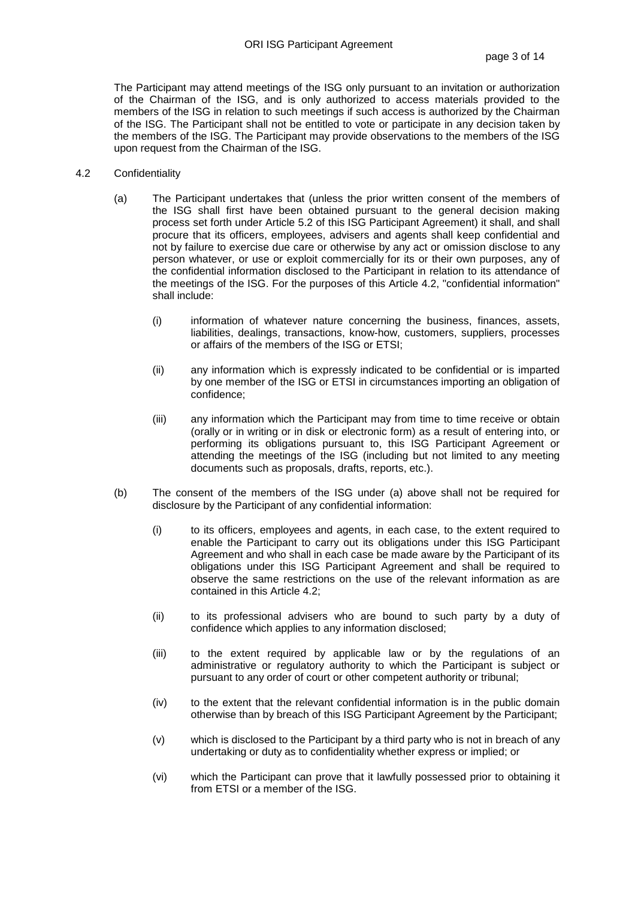The Participant may attend meetings of the ISG only pursuant to an invitation or authorization of the Chairman of the ISG, and is only authorized to access materials provided to the members of the ISG in relation to such meetings if such access is authorized by the Chairman of the ISG. The Participant shall not be entitled to vote or participate in any decision taken by the members of the ISG. The Participant may provide observations to the members of the ISG upon request from the Chairman of the ISG.

- 4.2 Confidentiality
	- (a) The Participant undertakes that (unless the prior written consent of the members of the ISG shall first have been obtained pursuant to the general decision making process set forth under Article 5.2 of this ISG Participant Agreement) it shall, and shall procure that its officers, employees, advisers and agents shall keep confidential and not by failure to exercise due care or otherwise by any act or omission disclose to any person whatever, or use or exploit commercially for its or their own purposes, any of the confidential information disclosed to the Participant in relation to its attendance of the meetings of the ISG. For the purposes of this Article 4.2, "confidential information" shall include:
		- (i) information of whatever nature concerning the business, finances, assets, liabilities, dealings, transactions, know-how, customers, suppliers, processes or affairs of the members of the ISG or ETSI;
		- (ii) any information which is expressly indicated to be confidential or is imparted by one member of the ISG or ETSI in circumstances importing an obligation of confidence;
		- (iii) any information which the Participant may from time to time receive or obtain (orally or in writing or in disk or electronic form) as a result of entering into, or performing its obligations pursuant to, this ISG Participant Agreement or attending the meetings of the ISG (including but not limited to any meeting documents such as proposals, drafts, reports, etc.).
	- (b) The consent of the members of the ISG under (a) above shall not be required for disclosure by the Participant of any confidential information:
		- (i) to its officers, employees and agents, in each case, to the extent required to enable the Participant to carry out its obligations under this ISG Participant Agreement and who shall in each case be made aware by the Participant of its obligations under this ISG Participant Agreement and shall be required to observe the same restrictions on the use of the relevant information as are contained in this Article 4.2;
		- (ii) to its professional advisers who are bound to such party by a duty of confidence which applies to any information disclosed;
		- (iii) to the extent required by applicable law or by the regulations of an administrative or regulatory authority to which the Participant is subject or pursuant to any order of court or other competent authority or tribunal;
		- (iv) to the extent that the relevant confidential information is in the public domain otherwise than by breach of this ISG Participant Agreement by the Participant;
		- (v) which is disclosed to the Participant by a third party who is not in breach of any undertaking or duty as to confidentiality whether express or implied; or
		- (vi) which the Participant can prove that it lawfully possessed prior to obtaining it from ETSI or a member of the ISG.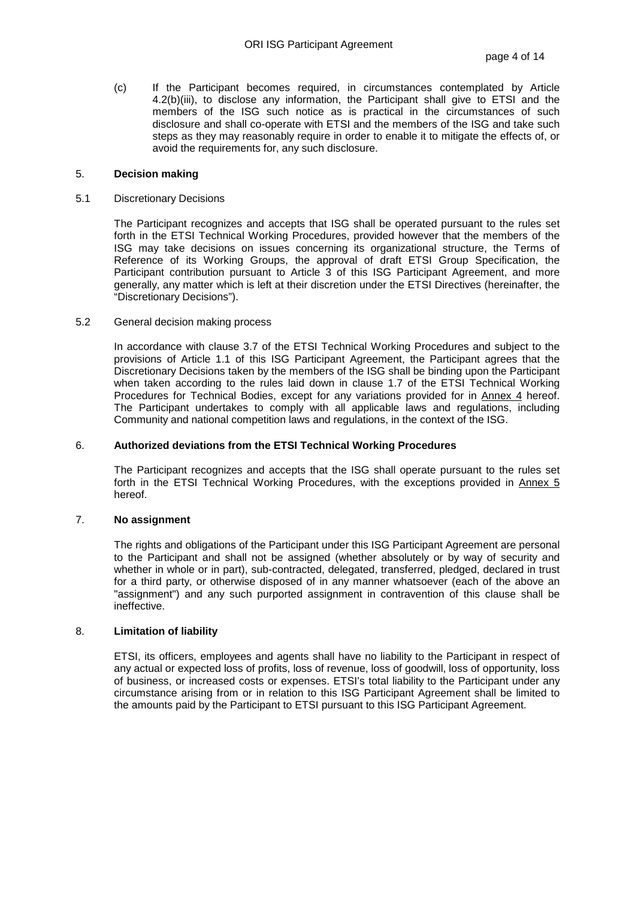(c) If the Participant becomes required, in circumstances contemplated by Article 4.2(b)(iii), to disclose any information, the Participant shall give to ETSI and the members of the ISG such notice as is practical in the circumstances of such disclosure and shall co-operate with ETSI and the members of the ISG and take such steps as they may reasonably require in order to enable it to mitigate the effects of, or avoid the requirements for, any such disclosure.

## 5. **Decision making**

#### 5.1 Discretionary Decisions

The Participant recognizes and accepts that ISG shall be operated pursuant to the rules set forth in the ETSI Technical Working Procedures, provided however that the members of the ISG may take decisions on issues concerning its organizational structure, the Terms of Reference of its Working Groups, the approval of draft ETSI Group Specification, the Participant contribution pursuant to Article 3 of this ISG Participant Agreement, and more generally, any matter which is left at their discretion under the ETSI Directives (hereinafter, the "Discretionary Decisions").

## 5.2 General decision making process

In accordance with clause 3.7 of the ETSI Technical Working Procedures and subject to the provisions of Article 1.1 of this ISG Participant Agreement, the Participant agrees that the Discretionary Decisions taken by the members of the ISG shall be binding upon the Participant when taken according to the rules laid down in clause 1.7 of the ETSI Technical Working Procedures for Technical Bodies, except for any variations provided for in Annex 4 hereof. The Participant undertakes to comply with all applicable laws and regulations, including Community and national competition laws and regulations, in the context of the ISG.

#### 6. **Authorized deviations from the ETSI Technical Working Procedures**

The Participant recognizes and accepts that the ISG shall operate pursuant to the rules set forth in the ETSI Technical Working Procedures, with the exceptions provided in Annex 5 hereof.

## 7. **No assignment**

The rights and obligations of the Participant under this ISG Participant Agreement are personal to the Participant and shall not be assigned (whether absolutely or by way of security and whether in whole or in part), sub-contracted, delegated, transferred, pledged, declared in trust for a third party, or otherwise disposed of in any manner whatsoever (each of the above an "assignment") and any such purported assignment in contravention of this clause shall be ineffective.

## 8. **Limitation of liability**

ETSI, its officers, employees and agents shall have no liability to the Participant in respect of any actual or expected loss of profits, loss of revenue, loss of goodwill, loss of opportunity, loss of business, or increased costs or expenses. ETSI's total liability to the Participant under any circumstance arising from or in relation to this ISG Participant Agreement shall be limited to the amounts paid by the Participant to ETSI pursuant to this ISG Participant Agreement.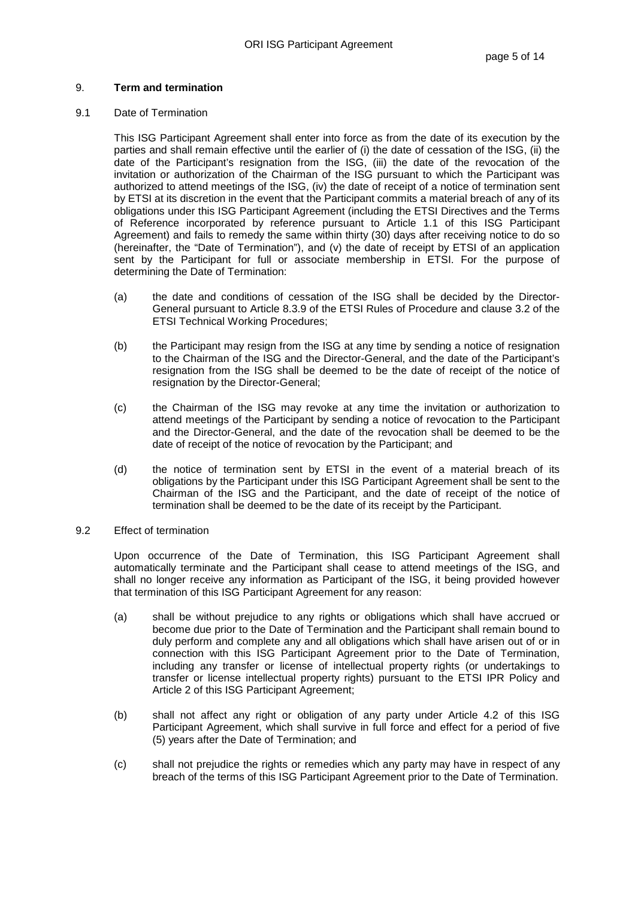## 9. **Term and termination**

## 9.1 Date of Termination

This ISG Participant Agreement shall enter into force as from the date of its execution by the parties and shall remain effective until the earlier of (i) the date of cessation of the ISG, (ii) the date of the Participant's resignation from the ISG, (iii) the date of the revocation of the invitation or authorization of the Chairman of the ISG pursuant to which the Participant was authorized to attend meetings of the ISG, (iv) the date of receipt of a notice of termination sent by ETSI at its discretion in the event that the Participant commits a material breach of any of its obligations under this ISG Participant Agreement (including the ETSI Directives and the Terms of Reference incorporated by reference pursuant to Article 1.1 of this ISG Participant Agreement) and fails to remedy the same within thirty (30) days after receiving notice to do so (hereinafter, the "Date of Termination"), and (v) the date of receipt by ETSI of an application sent by the Participant for full or associate membership in ETSI. For the purpose of determining the Date of Termination:

- (a) the date and conditions of cessation of the ISG shall be decided by the Director-General pursuant to Article 8.3.9 of the ETSI Rules of Procedure and clause 3.2 of the ETSI Technical Working Procedures;
- (b) the Participant may resign from the ISG at any time by sending a notice of resignation to the Chairman of the ISG and the Director-General, and the date of the Participant's resignation from the ISG shall be deemed to be the date of receipt of the notice of resignation by the Director-General;
- (c) the Chairman of the ISG may revoke at any time the invitation or authorization to attend meetings of the Participant by sending a notice of revocation to the Participant and the Director-General, and the date of the revocation shall be deemed to be the date of receipt of the notice of revocation by the Participant; and
- (d) the notice of termination sent by ETSI in the event of a material breach of its obligations by the Participant under this ISG Participant Agreement shall be sent to the Chairman of the ISG and the Participant, and the date of receipt of the notice of termination shall be deemed to be the date of its receipt by the Participant.
- 9.2 Effect of termination

Upon occurrence of the Date of Termination, this ISG Participant Agreement shall automatically terminate and the Participant shall cease to attend meetings of the ISG, and shall no longer receive any information as Participant of the ISG, it being provided however that termination of this ISG Participant Agreement for any reason:

- (a) shall be without prejudice to any rights or obligations which shall have accrued or become due prior to the Date of Termination and the Participant shall remain bound to duly perform and complete any and all obligations which shall have arisen out of or in connection with this ISG Participant Agreement prior to the Date of Termination, including any transfer or license of intellectual property rights (or undertakings to transfer or license intellectual property rights) pursuant to the ETSI IPR Policy and Article 2 of this ISG Participant Agreement;
- (b) shall not affect any right or obligation of any party under Article 4.2 of this ISG Participant Agreement, which shall survive in full force and effect for a period of five (5) years after the Date of Termination; and
- (c) shall not prejudice the rights or remedies which any party may have in respect of any breach of the terms of this ISG Participant Agreement prior to the Date of Termination.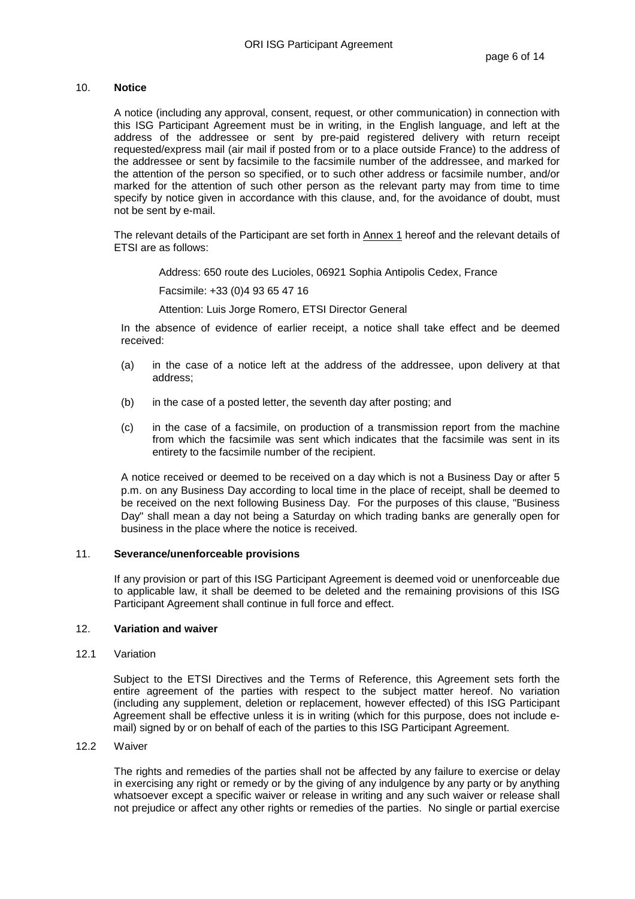# 10. **Notice**

A notice (including any approval, consent, request, or other communication) in connection with this ISG Participant Agreement must be in writing, in the English language, and left at the address of the addressee or sent by pre-paid registered delivery with return receipt requested/express mail (air mail if posted from or to a place outside France) to the address of the addressee or sent by facsimile to the facsimile number of the addressee, and marked for the attention of the person so specified, or to such other address or facsimile number, and/or marked for the attention of such other person as the relevant party may from time to time specify by notice given in accordance with this clause, and, for the avoidance of doubt, must not be sent by e-mail.

The relevant details of the Participant are set forth in **Annex 1** hereof and the relevant details of ETSI are as follows:

Address: 650 route des Lucioles, 06921 Sophia Antipolis Cedex, France

Facsimile: +33 (0)4 93 65 47 16

Attention: Luis Jorge Romero, ETSI Director General

 In the absence of evidence of earlier receipt, a notice shall take effect and be deemed received:

- (a) in the case of a notice left at the address of the addressee, upon delivery at that address;
- (b) in the case of a posted letter, the seventh day after posting; and
- (c) in the case of a facsimile, on production of a transmission report from the machine from which the facsimile was sent which indicates that the facsimile was sent in its entirety to the facsimile number of the recipient.

 A notice received or deemed to be received on a day which is not a Business Day or after 5 p.m. on any Business Day according to local time in the place of receipt, shall be deemed to be received on the next following Business Day. For the purposes of this clause, "Business Day" shall mean a day not being a Saturday on which trading banks are generally open for business in the place where the notice is received.

## 11. **Severance/unenforceable provisions**

If any provision or part of this ISG Participant Agreement is deemed void or unenforceable due to applicable law, it shall be deemed to be deleted and the remaining provisions of this ISG Participant Agreement shall continue in full force and effect.

# 12. **Variation and waiver**

12.1 Variation

Subject to the ETSI Directives and the Terms of Reference, this Agreement sets forth the entire agreement of the parties with respect to the subject matter hereof. No variation (including any supplement, deletion or replacement, however effected) of this ISG Participant Agreement shall be effective unless it is in writing (which for this purpose, does not include email) signed by or on behalf of each of the parties to this ISG Participant Agreement.

## 12.2 Waiver

The rights and remedies of the parties shall not be affected by any failure to exercise or delay in exercising any right or remedy or by the giving of any indulgence by any party or by anything whatsoever except a specific waiver or release in writing and any such waiver or release shall not prejudice or affect any other rights or remedies of the parties. No single or partial exercise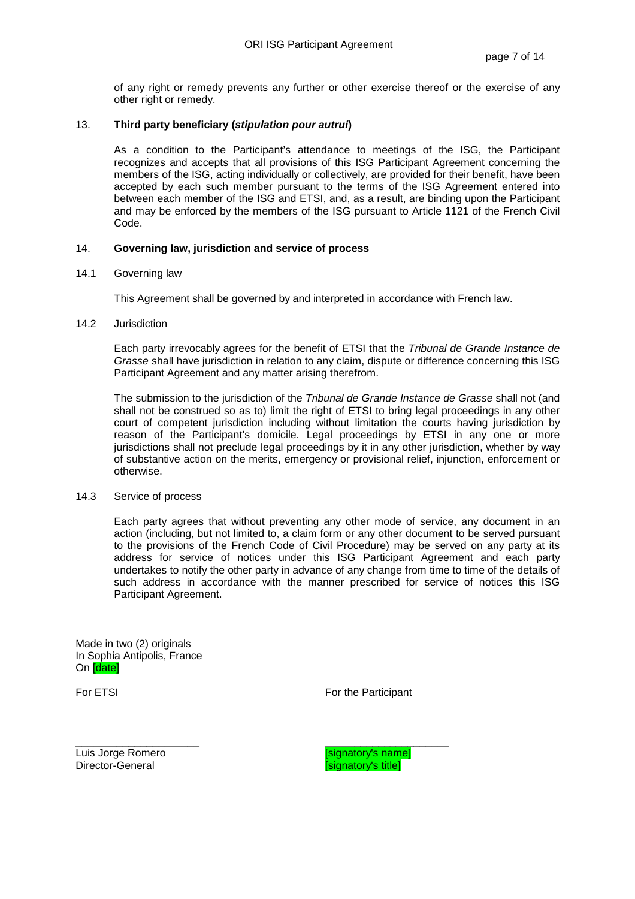of any right or remedy prevents any further or other exercise thereof or the exercise of any other right or remedy.

## 13. **Third party beneficiary (stipulation pour autrui)**

As a condition to the Participant's attendance to meetings of the ISG, the Participant recognizes and accepts that all provisions of this ISG Participant Agreement concerning the members of the ISG, acting individually or collectively, are provided for their benefit, have been accepted by each such member pursuant to the terms of the ISG Agreement entered into between each member of the ISG and ETSI, and, as a result, are binding upon the Participant and may be enforced by the members of the ISG pursuant to Article 1121 of the French Civil Code.

## 14. **Governing law, jurisdiction and service of process**

#### 14.1 Governing law

This Agreement shall be governed by and interpreted in accordance with French law.

#### 14.2 Jurisdiction

Each party irrevocably agrees for the benefit of ETSI that the Tribunal de Grande Instance de Grasse shall have jurisdiction in relation to any claim, dispute or difference concerning this ISG Participant Agreement and any matter arising therefrom.

The submission to the jurisdiction of the Tribunal de Grande Instance de Grasse shall not (and shall not be construed so as to) limit the right of ETSI to bring legal proceedings in any other court of competent jurisdiction including without limitation the courts having jurisdiction by reason of the Participant's domicile. Legal proceedings by ETSI in any one or more jurisdictions shall not preclude legal proceedings by it in any other jurisdiction, whether by way of substantive action on the merits, emergency or provisional relief, injunction, enforcement or otherwise.

## 14.3 Service of process

Each party agrees that without preventing any other mode of service, any document in an action (including, but not limited to, a claim form or any other document to be served pursuant to the provisions of the French Code of Civil Procedure) may be served on any party at its address for service of notices under this ISG Participant Agreement and each party undertakes to notify the other party in advance of any change from time to time of the details of such address in accordance with the manner prescribed for service of notices this ISG Participant Agreement.

Made in two (2) originals In Sophia Antipolis, France On [date]

For ETSI For the Participant

\_\_\_\_\_\_\_\_\_\_\_\_\_\_\_\_\_\_\_\_\_ \_\_\_\_\_\_\_\_\_\_\_\_\_\_\_\_\_\_\_\_\_ Luis Jorge Romero **Communist Communist Communist Communist Communist Communist Communist Communist Communist Co<br>
Letter Communist Communist Communist Communist Communist Communist Communist Communist Communist Communist Co Signatory's title]**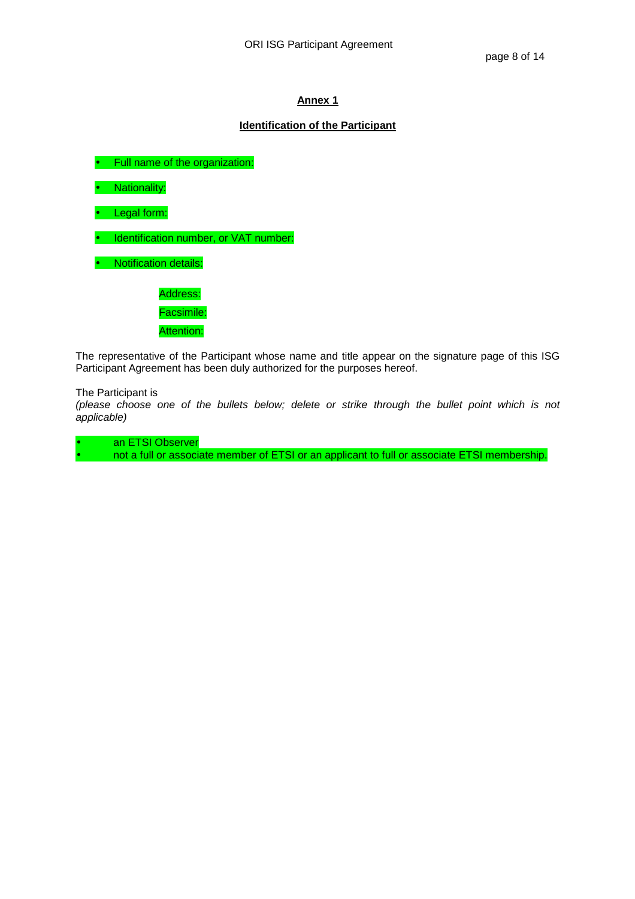# **Identification of the Participant**

• Full name of the organization:

• Nationality:

• Legal form:

• Identification number, or VAT number:

• Notification details:

Address: Facsimile: Attention:

The representative of the Participant whose name and title appear on the signature page of this ISG Participant Agreement has been duly authorized for the purposes hereof.

The Participant is

(please choose one of the bullets below; delete or strike through the bullet point which is not applicable)

an ETSI Observer

• not a full or associate member of ETSI or an applicant to full or associate ETSI membership.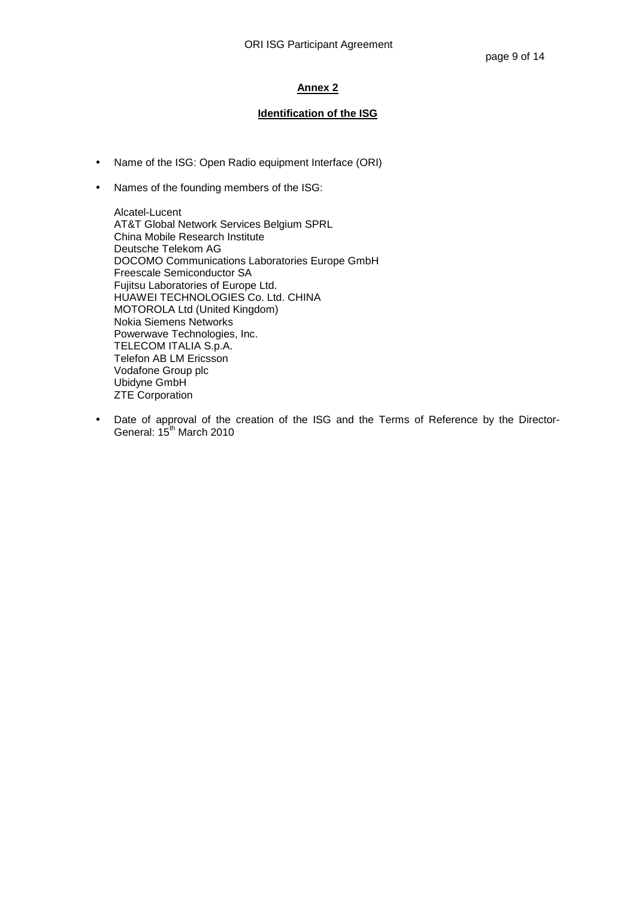# **Identification of the ISG**

- Name of the ISG: Open Radio equipment Interface (ORI)
- Names of the founding members of the ISG:

Alcatel-Lucent AT&T Global Network Services Belgium SPRL China Mobile Research Institute Deutsche Telekom AG DOCOMO Communications Laboratories Europe GmbH Freescale Semiconductor SA Fujitsu Laboratories of Europe Ltd. HUAWEI TECHNOLOGIES Co. Ltd. CHINA MOTOROLA Ltd (United Kingdom) Nokia Siemens Networks Powerwave Technologies, Inc. TELECOM ITALIA S.p.A. Telefon AB LM Ericsson Vodafone Group plc Ubidyne GmbH ZTE Corporation

• Date of approval of the creation of the ISG and the Terms of Reference by the Director-General: 15<sup>th</sup> March 2010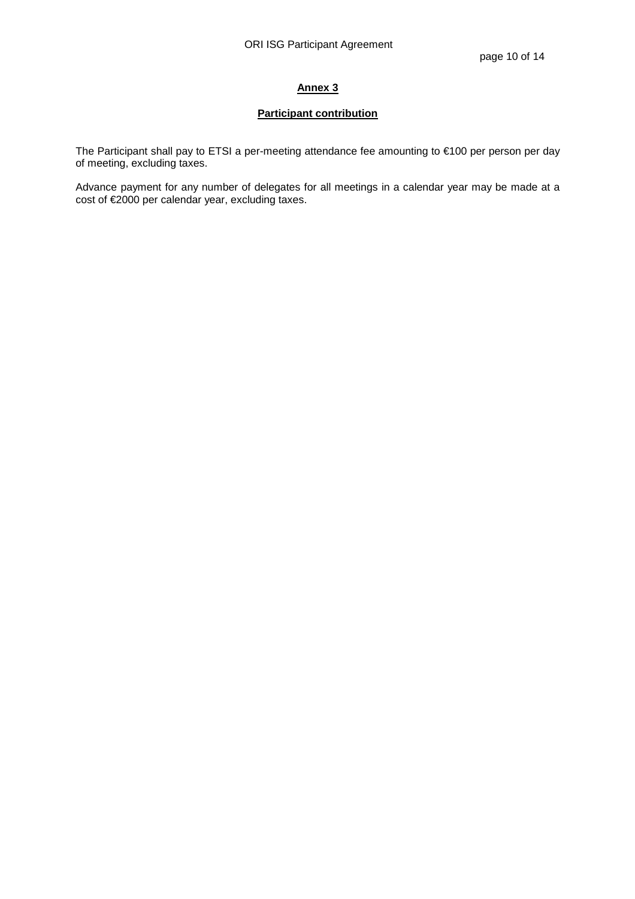# **Participant contribution**

The Participant shall pay to ETSI a per-meeting attendance fee amounting to €100 per person per day of meeting, excluding taxes.

Advance payment for any number of delegates for all meetings in a calendar year may be made at a cost of €2000 per calendar year, excluding taxes.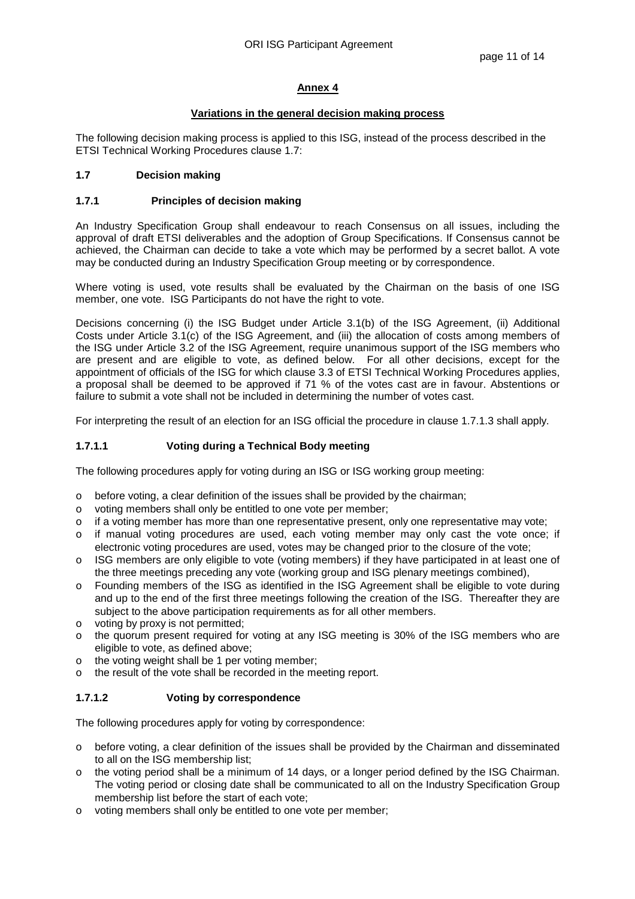# **Variations in the general decision making process**

The following decision making process is applied to this ISG, instead of the process described in the ETSI Technical Working Procedures clause 1.7:

# **1.7 Decision making**

# **1.7.1 Principles of decision making**

An Industry Specification Group shall endeavour to reach Consensus on all issues, including the approval of draft ETSI deliverables and the adoption of Group Specifications. If Consensus cannot be achieved, the Chairman can decide to take a vote which may be performed by a secret ballot. A vote may be conducted during an Industry Specification Group meeting or by correspondence.

Where voting is used, vote results shall be evaluated by the Chairman on the basis of one ISG member, one vote. ISG Participants do not have the right to vote.

Decisions concerning (i) the ISG Budget under Article 3.1(b) of the ISG Agreement, (ii) Additional Costs under Article 3.1(c) of the ISG Agreement, and (iii) the allocation of costs among members of the ISG under Article 3.2 of the ISG Agreement, require unanimous support of the ISG members who are present and are eligible to vote, as defined below. For all other decisions, except for the appointment of officials of the ISG for which clause 3.3 of ETSI Technical Working Procedures applies, a proposal shall be deemed to be approved if 71 % of the votes cast are in favour. Abstentions or failure to submit a vote shall not be included in determining the number of votes cast.

For interpreting the result of an election for an ISG official the procedure in clause 1.7.1.3 shall apply.

# **1.7.1.1 Voting during a Technical Body meeting**

The following procedures apply for voting during an ISG or ISG working group meeting:

- o before voting, a clear definition of the issues shall be provided by the chairman;
- o voting members shall only be entitled to one vote per member;
- $\circ$  if a voting member has more than one representative present, only one representative may vote;
- o if manual voting procedures are used, each voting member may only cast the vote once; if electronic voting procedures are used, votes may be changed prior to the closure of the vote;
- o ISG members are only eligible to vote (voting members) if they have participated in at least one of the three meetings preceding any vote (working group and ISG plenary meetings combined),
- o Founding members of the ISG as identified in the ISG Agreement shall be eligible to vote during and up to the end of the first three meetings following the creation of the ISG. Thereafter they are subject to the above participation requirements as for all other members.
- o voting by proxy is not permitted;
- o the quorum present required for voting at any ISG meeting is 30% of the ISG members who are eligible to vote, as defined above;
- o the voting weight shall be 1 per voting member;
- o the result of the vote shall be recorded in the meeting report.

# **1.7.1.2 Voting by correspondence**

The following procedures apply for voting by correspondence:

- o before voting, a clear definition of the issues shall be provided by the Chairman and disseminated to all on the ISG membership list;
- the voting period shall be a minimum of 14 days, or a longer period defined by the ISG Chairman. The voting period or closing date shall be communicated to all on the Industry Specification Group membership list before the start of each vote;
- o voting members shall only be entitled to one vote per member;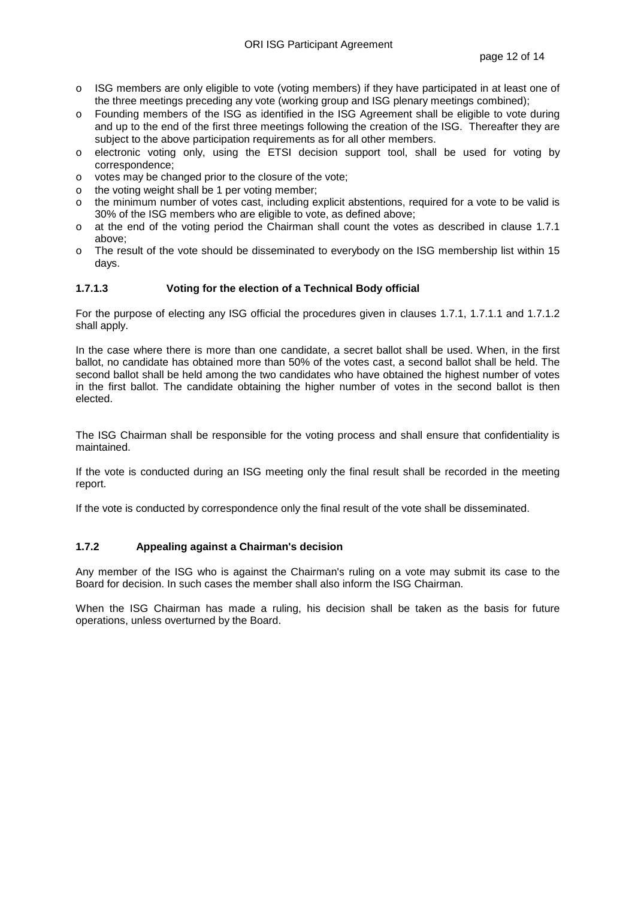- o ISG members are only eligible to vote (voting members) if they have participated in at least one of the three meetings preceding any vote (working group and ISG plenary meetings combined);
- o Founding members of the ISG as identified in the ISG Agreement shall be eligible to vote during and up to the end of the first three meetings following the creation of the ISG. Thereafter they are subject to the above participation requirements as for all other members.
- o electronic voting only, using the ETSI decision support tool, shall be used for voting by correspondence;
- o votes may be changed prior to the closure of the vote;
- o the voting weight shall be 1 per voting member;
- o the minimum number of votes cast, including explicit abstentions, required for a vote to be valid is 30% of the ISG members who are eligible to vote, as defined above;
- o at the end of the voting period the Chairman shall count the votes as described in clause 1.7.1 above;
- o The result of the vote should be disseminated to everybody on the ISG membership list within 15 days.

## **1.7.1.3 Voting for the election of a Technical Body official**

For the purpose of electing any ISG official the procedures given in clauses 1.7.1, 1.7.1.1 and 1.7.1.2 shall apply.

In the case where there is more than one candidate, a secret ballot shall be used. When, in the first ballot, no candidate has obtained more than 50% of the votes cast, a second ballot shall be held. The second ballot shall be held among the two candidates who have obtained the highest number of votes in the first ballot. The candidate obtaining the higher number of votes in the second ballot is then elected.

The ISG Chairman shall be responsible for the voting process and shall ensure that confidentiality is maintained.

If the vote is conducted during an ISG meeting only the final result shall be recorded in the meeting report.

If the vote is conducted by correspondence only the final result of the vote shall be disseminated.

# **1.7.2 Appealing against a Chairman's decision**

Any member of the ISG who is against the Chairman's ruling on a vote may submit its case to the Board for decision. In such cases the member shall also inform the ISG Chairman.

When the ISG Chairman has made a ruling, his decision shall be taken as the basis for future operations, unless overturned by the Board.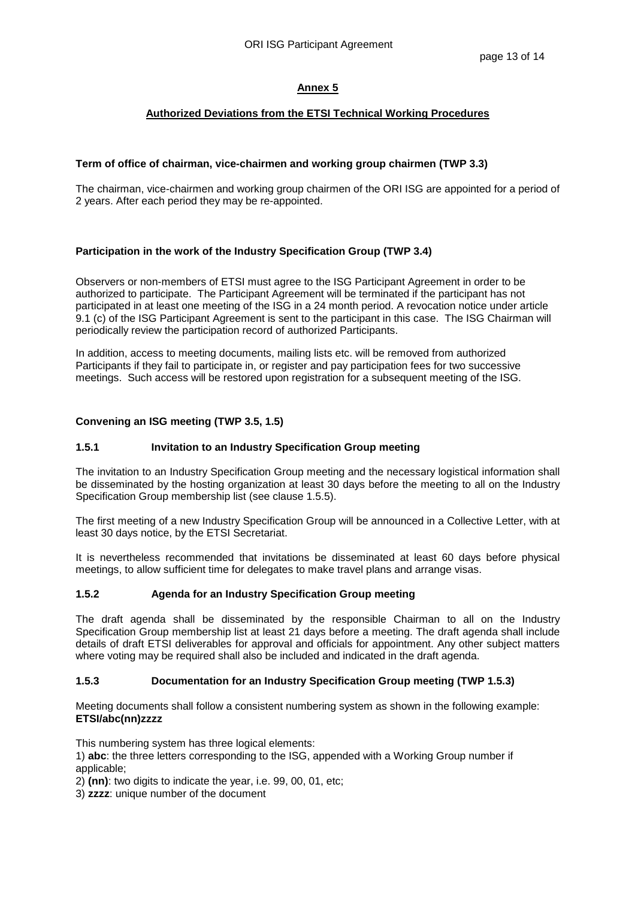# **Authorized Deviations from the ETSI Technical Working Procedures**

## **Term of office of chairman, vice-chairmen and working group chairmen (TWP 3.3)**

The chairman, vice-chairmen and working group chairmen of the ORI ISG are appointed for a period of 2 years. After each period they may be re-appointed.

## **Participation in the work of the Industry Specification Group (TWP 3.4)**

Observers or non-members of ETSI must agree to the ISG Participant Agreement in order to be authorized to participate. The Participant Agreement will be terminated if the participant has not participated in at least one meeting of the ISG in a 24 month period. A revocation notice under article 9.1 (c) of the ISG Participant Agreement is sent to the participant in this case. The ISG Chairman will periodically review the participation record of authorized Participants.

In addition, access to meeting documents, mailing lists etc. will be removed from authorized Participants if they fail to participate in, or register and pay participation fees for two successive meetings. Such access will be restored upon registration for a subsequent meeting of the ISG.

## **Convening an ISG meeting (TWP 3.5, 1.5)**

## **1.5.1 Invitation to an Industry Specification Group meeting**

The invitation to an Industry Specification Group meeting and the necessary logistical information shall be disseminated by the hosting organization at least 30 days before the meeting to all on the Industry Specification Group membership list (see clause 1.5.5).

The first meeting of a new Industry Specification Group will be announced in a Collective Letter, with at least 30 days notice, by the ETSI Secretariat.

It is nevertheless recommended that invitations be disseminated at least 60 days before physical meetings, to allow sufficient time for delegates to make travel plans and arrange visas.

## **1.5.2 Agenda for an Industry Specification Group meeting**

The draft agenda shall be disseminated by the responsible Chairman to all on the Industry Specification Group membership list at least 21 days before a meeting. The draft agenda shall include details of draft ETSI deliverables for approval and officials for appointment. Any other subject matters where voting may be required shall also be included and indicated in the draft agenda.

## **1.5.3 Documentation for an Industry Specification Group meeting (TWP 1.5.3)**

Meeting documents shall follow a consistent numbering system as shown in the following example: **ETSI/abc(nn)zzzz** 

This numbering system has three logical elements:

- 1) **abc**: the three letters corresponding to the ISG, appended with a Working Group number if applicable;
- 2) **(nn)**: two digits to indicate the year, i.e. 99, 00, 01, etc;

3) **zzzz**: unique number of the document